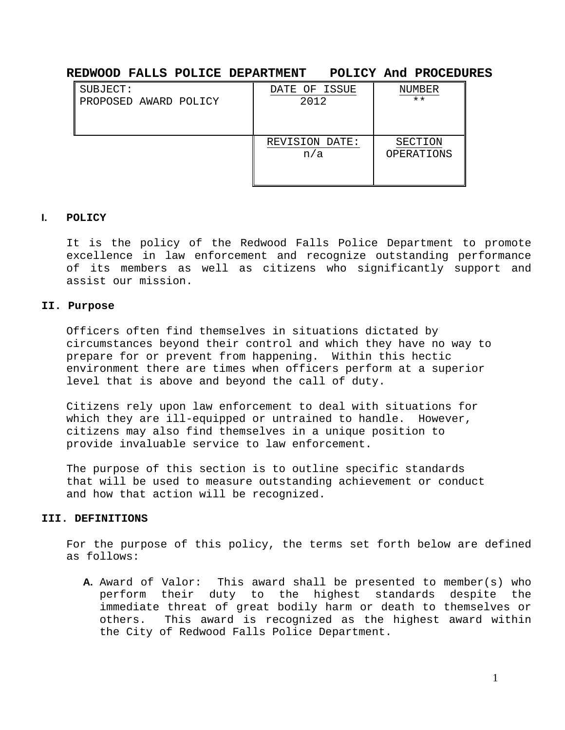# **REDWOOD FALLS POLICE DEPARTMENT POLICY And PROCEDURES**

| SUBJECT:              | DATE OF ISSUE  | NUMBER       |
|-----------------------|----------------|--------------|
| PROPOSED AWARD POLICY | 2012           | $\star\star$ |
|                       |                |              |
|                       |                |              |
|                       | REVISION DATE: | SECTION      |
|                       | n/a            | OPERATIONS   |
|                       |                |              |
|                       |                |              |

### **I. POLICY**

It is the policy of the Redwood Falls Police Department to promote excellence in law enforcement and recognize outstanding performance of its members as well as citizens who significantly support and assist our mission.

#### **II. Purpose**

Officers often find themselves in situations dictated by circumstances beyond their control and which they have no way to prepare for or prevent from happening. Within this hectic environment there are times when officers perform at a superior level that is above and beyond the call of duty.

Citizens rely upon law enforcement to deal with situations for which they are ill-equipped or untrained to handle. However, citizens may also find themselves in a unique position to provide invaluable service to law enforcement.

The purpose of this section is to outline specific standards that will be used to measure outstanding achievement or conduct and how that action will be recognized.

#### **III. DEFINITIONS**

For the purpose of this policy, the terms set forth below are defined as follows:

A. Award of Valor: This award shall be presented to member(s) who<br>perform their duty to the highest standards despite the perform their duty to the highest standards immediate threat of great bodily harm or death to themselves or others. This award is recognized as the highest award within the City of Redwood Falls Police Department.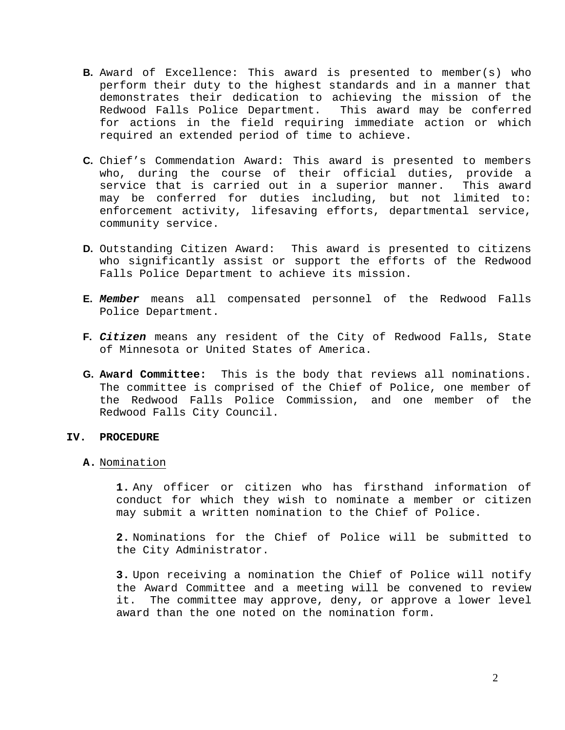- **B.** Award of Excellence: This award is presented to member(s) who perform their duty to the highest standards and in a manner that demonstrates their dedication to achieving the mission of the Redwood Falls Police Department. This award may be conferred for actions in the field requiring immediate action or which required an extended period of time to achieve.
- **C.** Chief's Commendation Award: This award is presented to members who, during the course of their official duties, provide a<br>service that is carried out in a superior manner. This award service that is carried out in a superior manner. may be conferred for duties including, but not limited to: enforcement activity, lifesaving efforts, departmental service, community service.
- **D.** Outstanding Citizen Award: This award is presented to citizens who significantly assist or support the efforts of the Redwood Falls Police Department to achieve its mission.
- **E.** *Member* means all compensated personnel of the Redwood Falls Police Department.
- **F.** *Citizen* means any resident of the City of Redwood Falls, State of Minnesota or United States of America.
- **G. Award Committee:** This is the body that reviews all nominations. The committee is comprised of the Chief of Police, one member of the Redwood Falls Police Commission, and one member of the Redwood Falls City Council.

#### **IV. PROCEDURE**

#### **A.** Nomination

**1.** Any officer or citizen who has firsthand information of conduct for which they wish to nominate a member or citizen may submit a written nomination to the Chief of Police.

**2.** Nominations for the Chief of Police will be submitted to the City Administrator.

**3.** Upon receiving a nomination the Chief of Police will notify the Award Committee and a meeting will be convened to review it. The committee may approve, deny, or approve a lower level award than the one noted on the nomination form.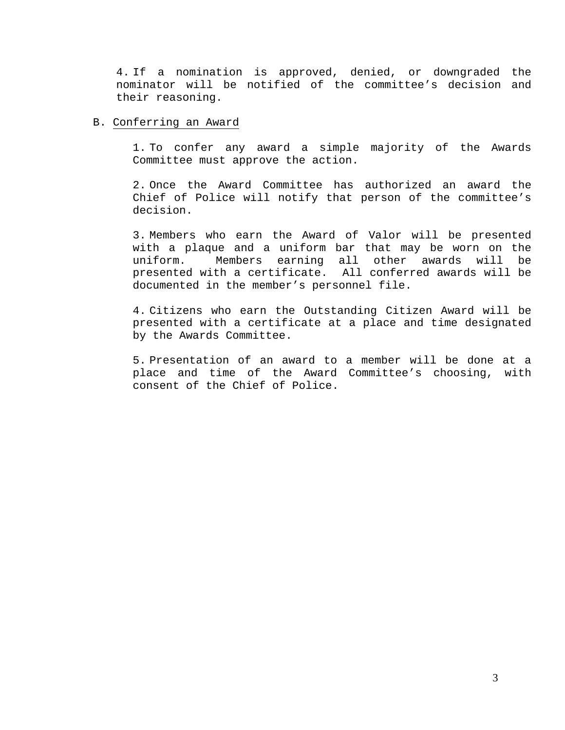4. If a nomination is approved, denied, or downgraded the nominator will be notified of the committee's decision and their reasoning.

# B. Conferring an Award

1. To confer any award a simple majority of the Awards Committee must approve the action.

2. Once the Award Committee has authorized an award the Chief of Police will notify that person of the committee's decision.

3. Members who earn the Award of Valor will be presented with a plaque and a uniform bar that may be worn on the uniform. Members earning all other awards will be presented with a certificate. All conferred awards will be documented in the member's personnel file.

4. Citizens who earn the Outstanding Citizen Award will be presented with a certificate at a place and time designated by the Awards Committee.

5. Presentation of an award to a member will be done at a place and time of the Award Committee's choosing, with consent of the Chief of Police.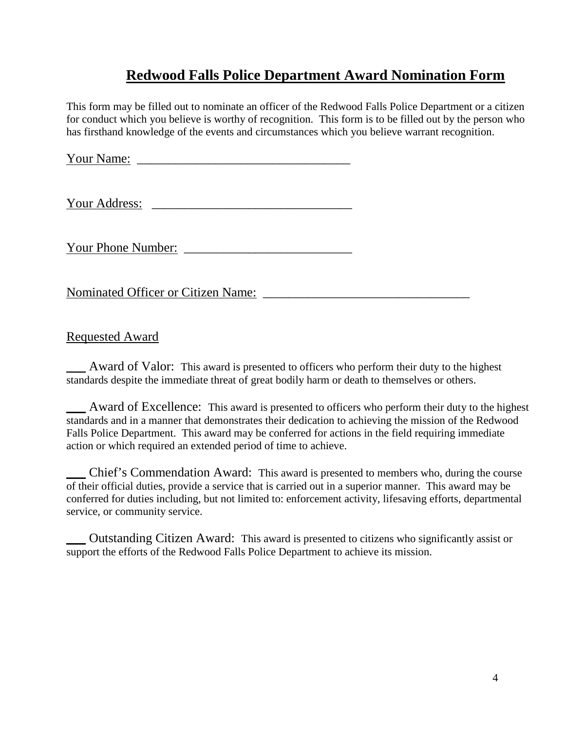# **Redwood Falls Police Department Award Nomination Form**

This form may be filled out to nominate an officer of the Redwood Falls Police Department or a citizen for conduct which you believe is worthy of recognition. This form is to be filled out by the person who has firsthand knowledge of the events and circumstances which you believe warrant recognition.

Your Name: \_\_\_\_\_\_\_\_\_\_\_\_\_\_\_\_\_\_\_\_\_\_\_\_\_\_\_\_\_\_\_\_\_

Your Address: \_\_\_\_\_\_\_\_\_\_\_\_\_\_\_\_\_\_\_\_\_\_\_\_\_\_\_\_\_\_\_

Your Phone Number:

Nominated Officer or Citizen Name:

# Requested Award

Award of Valor: This award is presented to officers who perform their duty to the highest standards despite the immediate threat of great bodily harm or death to themselves or others.

\_\_\_ Award of Excellence: This award is presented to officers who perform their duty to the highest standards and in a manner that demonstrates their dedication to achieving the mission of the Redwood Falls Police Department. This award may be conferred for actions in the field requiring immediate action or which required an extended period of time to achieve.

\_\_\_ Chief's Commendation Award: This award is presented to members who, during the course of their official duties, provide a service that is carried out in a superior manner. This award may be conferred for duties including, but not limited to: enforcement activity, lifesaving efforts, departmental service, or community service.

\_\_\_ Outstanding Citizen Award: This award is presented to citizens who significantly assist or support the efforts of the Redwood Falls Police Department to achieve its mission.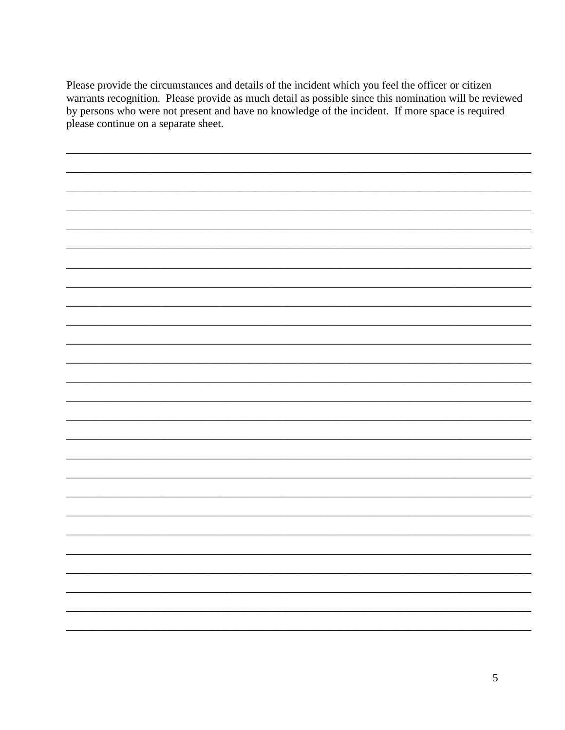Please provide the circumstances and details of the incident which you feel the officer or citizen warrants recognition. Please provide as much detail as possible since this nomination will be reviewed by persons who were not present and have no knowledge of the incident. If more space is required please continue on a separate sheet.